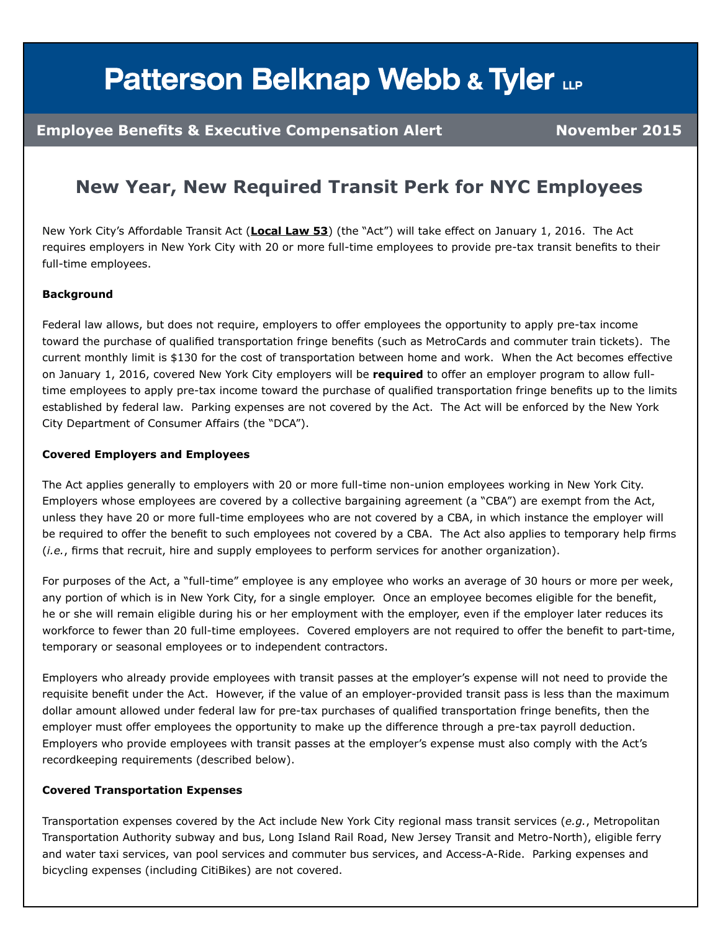# **Patterson Belknap Webb & Tyler LLP**

### **Employee Benefits & Executive Compensation Alert Manual Muslim November 2015**

### **New Year, New Required Transit Perk for NYC Employees**

New York City's Affordable Transit Act (**[Local Law 53](http://cdn2.hubspot.net/hubfs/383308/NYC_Local_Law_53-1-1.pdf)**) (the "Act") will take effect on January 1, 2016. The Act requires employers in New York City with 20 or more full-time employees to provide pre-tax transit benefits to their full-time employees.

#### **Background**

Federal law allows, but does not require, employers to offer employees the opportunity to apply pre-tax income toward the purchase of qualified transportation fringe benefits (such as MetroCards and commuter train tickets). The current monthly limit is \$130 for the cost of transportation between home and work. When the Act becomes effective on January 1, 2016, covered New York City employers will be **required** to offer an employer program to allow fulltime employees to apply pre-tax income toward the purchase of qualified transportation fringe benefits up to the limits established by federal law. Parking expenses are not covered by the Act. The Act will be enforced by the New York City Department of Consumer Affairs (the "DCA").

#### **Covered Employers and Employees**

The Act applies generally to employers with 20 or more full-time non-union employees working in New York City. Employers whose employees are covered by a collective bargaining agreement (a "CBA") are exempt from the Act, unless they have 20 or more full-time employees who are not covered by a CBA, in which instance the employer will be required to offer the benefit to such employees not covered by a CBA. The Act also applies to temporary help firms (*i.e.*, firms that recruit, hire and supply employees to perform services for another organization).

For purposes of the Act, a "full-time" employee is any employee who works an average of 30 hours or more per week, any portion of which is in New York City, for a single employer. Once an employee becomes eligible for the benefit, he or she will remain eligible during his or her employment with the employer, even if the employer later reduces its workforce to fewer than 20 full-time employees. Covered employers are not required to offer the benefit to part-time, temporary or seasonal employees or to independent contractors.

Employers who already provide employees with transit passes at the employer's expense will not need to provide the requisite benefit under the Act. However, if the value of an employer-provided transit pass is less than the maximum dollar amount allowed under federal law for pre-tax purchases of qualified transportation fringe benefits, then the employer must offer employees the opportunity to make up the difference through a pre-tax payroll deduction. Employers who provide employees with transit passes at the employer's expense must also comply with the Act's recordkeeping requirements (described below).

#### **Covered Transportation Expenses**

Transportation expenses covered by the Act include New York City regional mass transit services (*e.g.*, Metropolitan Transportation Authority subway and bus, Long Island Rail Road, New Jersey Transit and Metro-North), eligible ferry and water taxi services, van pool services and commuter bus services, and Access-A-Ride. Parking expenses and bicycling expenses (including CitiBikes) are not covered.